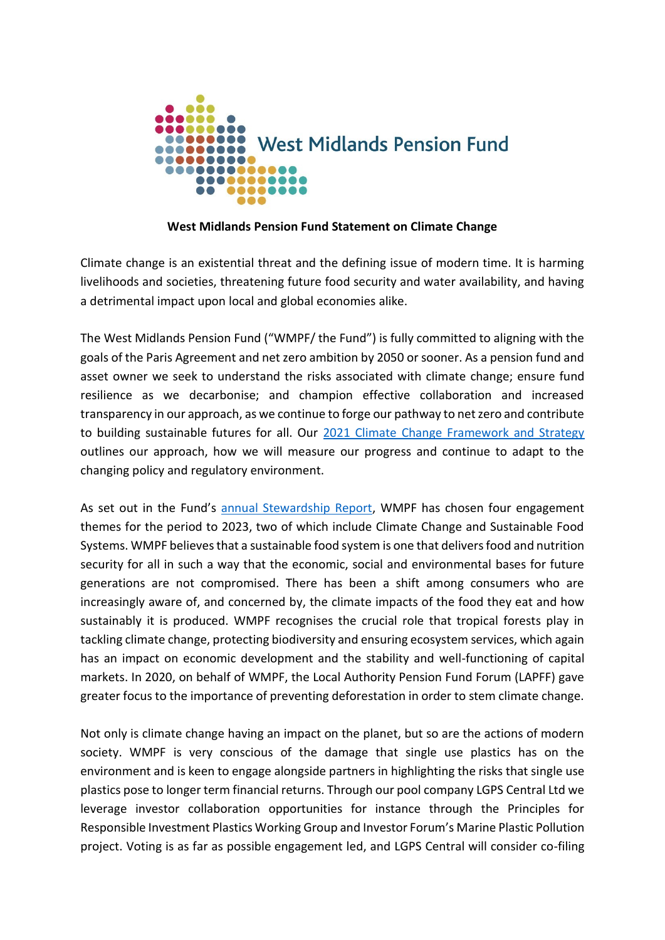

## **West Midlands Pension Fund Statement on Climate Change**

Climate change is an existential threat and the defining issue of modern time. It is harming livelihoods and societies, threatening future food security and water availability, and having a detrimental impact upon local and global economies alike.

The West Midlands Pension Fund ("WMPF/ the Fund") is fully committed to aligning with the goals of the Paris Agreement and net zero ambition by 2050 or sooner. As a pension fund and asset owner we seek to understand the risks associated with climate change; ensure fund resilience as we decarbonise; and champion effective collaboration and increased transparency in our approach, as we continue to forge our pathway to net zero and contribute to building sustainable futures for all. Our [2021 Climate Change Framework and Strategy](https://www.wmpfonline.com/CHttpHandler.ashx?id=17912&p=0) outlines our approach, how we will measure our progress and continue to adapt to the changing policy and regulatory environment.

As set out in the Fund's [annual Stewardship Report,](https://www.wmpfonline.com/CHttpHandler.ashx?id=17878&p=0) WMPF has chosen four engagement themes for the period to 2023, two of which include Climate Change and Sustainable Food Systems. WMPF believes that a sustainable food system is one that delivers food and nutrition security for all in such a way that the economic, social and environmental bases for future generations are not compromised. There has been a shift among consumers who are increasingly aware of, and concerned by, the climate impacts of the food they eat and how sustainably it is produced. WMPF recognises the crucial role that tropical forests play in tackling climate change, protecting biodiversity and ensuring ecosystem services, which again has an impact on economic development and the stability and well-functioning of capital markets. In 2020, on behalf of WMPF, the Local Authority Pension Fund Forum (LAPFF) gave greater focus to the importance of preventing deforestation in order to stem climate change.

Not only is climate change having an impact on the planet, but so are the actions of modern society. WMPF is very conscious of the damage that single use plastics has on the environment and is keen to engage alongside partners in highlighting the risks that single use plastics pose to longer term financial returns. Through our pool company LGPS Central Ltd we leverage investor collaboration opportunities for instance through the Principles for Responsible Investment Plastics Working Group and Investor Forum's Marine Plastic Pollution project. Voting is as far as possible engagement led, and LGPS Central will consider co-filing